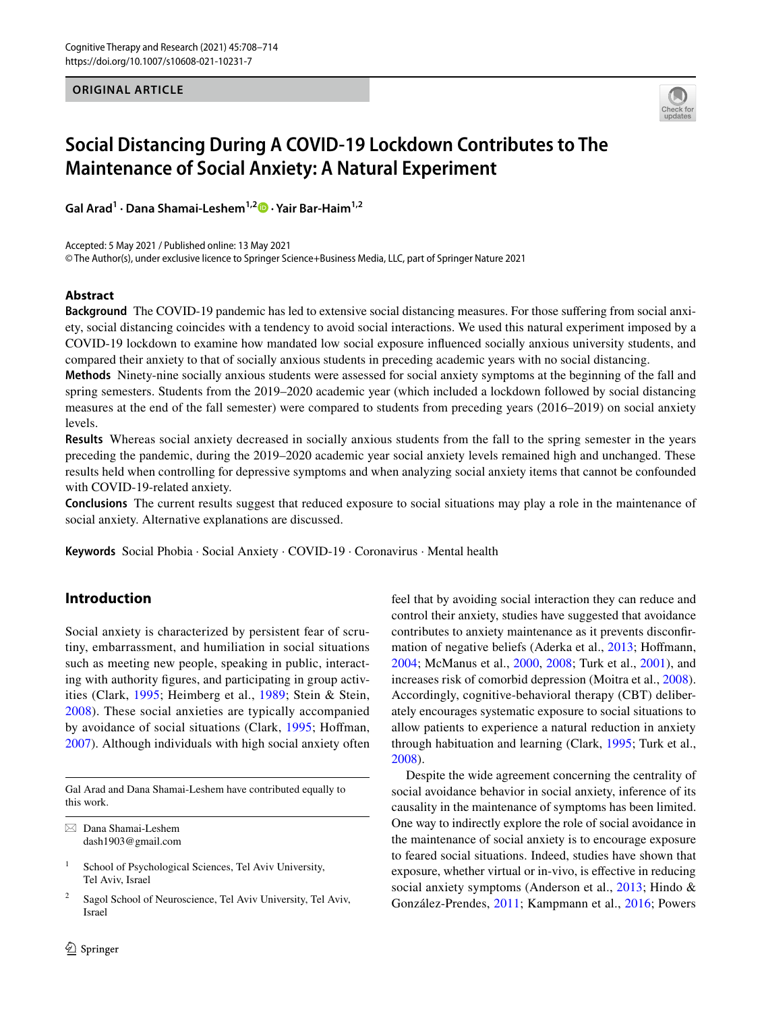**ORIGINAL ARTICLE**



# **Social Distancing During A COVID‑19 Lockdown Contributes to The Maintenance of Social Anxiety: A Natural Experiment**

**Gal Arad<sup>1</sup> · Dana Shamai‑Leshem1,2  [·](http://orcid.org/0000-0003-1397-9214) Yair Bar‑Haim1,2**

Accepted: 5 May 2021 / Published online: 13 May 2021

© The Author(s), under exclusive licence to Springer Science+Business Media, LLC, part of Springer Nature 2021

## **Abstract**

**Background** The COVID-19 pandemic has led to extensive social distancing measures. For those sufering from social anxiety, social distancing coincides with a tendency to avoid social interactions. We used this natural experiment imposed by a COVID-19 lockdown to examine how mandated low social exposure infuenced socially anxious university students, and compared their anxiety to that of socially anxious students in preceding academic years with no social distancing.

**Methods** Ninety-nine socially anxious students were assessed for social anxiety symptoms at the beginning of the fall and spring semesters. Students from the 2019–2020 academic year (which included a lockdown followed by social distancing measures at the end of the fall semester) were compared to students from preceding years (2016–2019) on social anxiety levels.

**Results** Whereas social anxiety decreased in socially anxious students from the fall to the spring semester in the years preceding the pandemic, during the 2019–2020 academic year social anxiety levels remained high and unchanged. These results held when controlling for depressive symptoms and when analyzing social anxiety items that cannot be confounded with COVID-19-related anxiety.

**Conclusions** The current results suggest that reduced exposure to social situations may play a role in the maintenance of social anxiety. Alternative explanations are discussed.

**Keywords** Social Phobia · Social Anxiety · COVID-19 · Coronavirus · Mental health

# **Introduction**

Social anxiety is characterized by persistent fear of scrutiny, embarrassment, and humiliation in social situations such as meeting new people, speaking in public, interacting with authority fgures, and participating in group activities (Clark, [1995](#page-5-0); Heimberg et al., [1989](#page-6-0); Stein & Stein, [2008\)](#page-6-1). These social anxieties are typically accompanied by avoidance of social situations (Clark, [1995](#page-5-0); Hofman, [2007](#page-6-2)). Although individuals with high social anxiety often

Gal Arad and Dana Shamai-Leshem have contributed equally to this work.

 $\boxtimes$  Dana Shamai-Leshem dash1903@gmail.com

<sup>1</sup> School of Psychological Sciences, Tel Aviv University, Tel Aviv, Israel

Sagol School of Neuroscience, Tel Aviv University, Tel Aviv, Israel

feel that by avoiding social interaction they can reduce and control their anxiety, studies have suggested that avoidance contributes to anxiety maintenance as it prevents disconfr-mation of negative beliefs (Aderka et al., [2013](#page-5-1); Hoffmann, [2004](#page-6-3); McManus et al., [2000,](#page-6-4) [2008](#page-6-5); Turk et al., [2001\)](#page-6-6), and increases risk of comorbid depression (Moitra et al., [2008](#page-6-7)). Accordingly, cognitive-behavioral therapy (CBT) deliberately encourages systematic exposure to social situations to allow patients to experience a natural reduction in anxiety through habituation and learning (Clark, [1995](#page-5-0); Turk et al., [2008](#page-6-8)).

Despite the wide agreement concerning the centrality of social avoidance behavior in social anxiety, inference of its causality in the maintenance of symptoms has been limited. One way to indirectly explore the role of social avoidance in the maintenance of social anxiety is to encourage exposure to feared social situations. Indeed, studies have shown that exposure, whether virtual or in-vivo, is efective in reducing social anxiety symptoms (Anderson et al., [2013](#page-5-2); Hindo & González-Prendes, [2011;](#page-6-9) Kampmann et al., [2016;](#page-6-10) Powers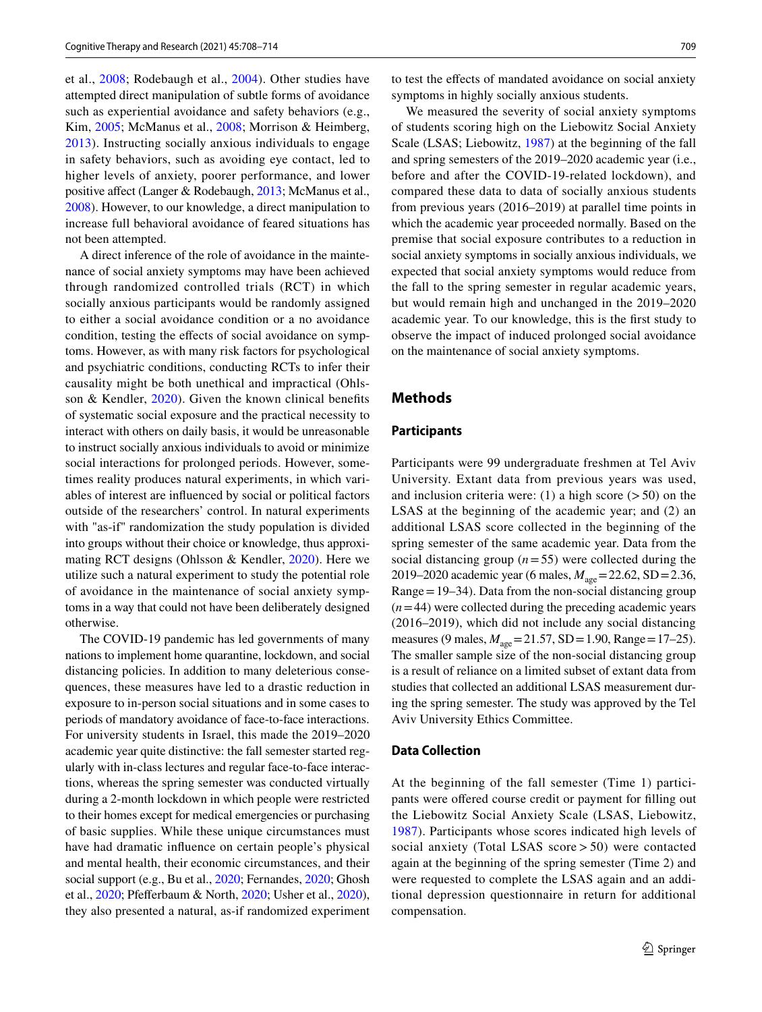et al., [2008](#page-6-11); Rodebaugh et al., [2004\)](#page-6-12). Other studies have attempted direct manipulation of subtle forms of avoidance such as experiential avoidance and safety behaviors (e.g., Kim, [2005;](#page-6-13) McManus et al., [2008](#page-6-5); Morrison & Heimberg, [2013\)](#page-6-14). Instructing socially anxious individuals to engage in safety behaviors, such as avoiding eye contact, led to higher levels of anxiety, poorer performance, and lower positive afect (Langer & Rodebaugh, [2013;](#page-6-15) McManus et al., [2008](#page-6-5)). However, to our knowledge, a direct manipulation to increase full behavioral avoidance of feared situations has not been attempted.

A direct inference of the role of avoidance in the maintenance of social anxiety symptoms may have been achieved through randomized controlled trials (RCT) in which socially anxious participants would be randomly assigned to either a social avoidance condition or a no avoidance condition, testing the effects of social avoidance on symptoms. However, as with many risk factors for psychological and psychiatric conditions, conducting RCTs to infer their causality might be both unethical and impractical (Ohlsson & Kendler, [2020\)](#page-6-16). Given the known clinical benefts of systematic social exposure and the practical necessity to interact with others on daily basis, it would be unreasonable to instruct socially anxious individuals to avoid or minimize social interactions for prolonged periods. However, sometimes reality produces natural experiments, in which variables of interest are infuenced by social or political factors outside of the researchers' control. In natural experiments with "as-if" randomization the study population is divided into groups without their choice or knowledge, thus approximating RCT designs (Ohlsson & Kendler, [2020](#page-6-16)). Here we utilize such a natural experiment to study the potential role of avoidance in the maintenance of social anxiety symptoms in a way that could not have been deliberately designed otherwise.

The COVID-19 pandemic has led governments of many nations to implement home quarantine, lockdown, and social distancing policies. In addition to many deleterious consequences, these measures have led to a drastic reduction in exposure to in-person social situations and in some cases to periods of mandatory avoidance of face-to-face interactions. For university students in Israel, this made the 2019–2020 academic year quite distinctive: the fall semester started regularly with in-class lectures and regular face-to-face interactions, whereas the spring semester was conducted virtually during a 2-month lockdown in which people were restricted to their homes except for medical emergencies or purchasing of basic supplies. While these unique circumstances must have had dramatic infuence on certain people's physical and mental health, their economic circumstances, and their social support (e.g., Bu et al., [2020;](#page-5-3) Fernandes, [2020](#page-5-4); Ghosh et al., [2020;](#page-5-5) Pfeferbaum & North, [2020;](#page-6-17) Usher et al., [2020](#page-6-18)), they also presented a natural, as-if randomized experiment to test the efects of mandated avoidance on social anxiety symptoms in highly socially anxious students.

We measured the severity of social anxiety symptoms of students scoring high on the Liebowitz Social Anxiety Scale (LSAS; Liebowitz, [1987](#page-6-19)) at the beginning of the fall and spring semesters of the 2019–2020 academic year (i.e., before and after the COVID-19-related lockdown), and compared these data to data of socially anxious students from previous years (2016–2019) at parallel time points in which the academic year proceeded normally. Based on the premise that social exposure contributes to a reduction in social anxiety symptoms in socially anxious individuals, we expected that social anxiety symptoms would reduce from the fall to the spring semester in regular academic years, but would remain high and unchanged in the 2019–2020 academic year. To our knowledge, this is the frst study to observe the impact of induced prolonged social avoidance on the maintenance of social anxiety symptoms.

## **Methods**

## **Participants**

Participants were 99 undergraduate freshmen at Tel Aviv University. Extant data from previous years was used, and inclusion criteria were: (1) a high score  $($ > 50) on the LSAS at the beginning of the academic year; and (2) an additional LSAS score collected in the beginning of the spring semester of the same academic year. Data from the social distancing group  $(n=55)$  were collected during the 2019–2020 academic year (6 males, *M*age=22.62, SD=2.36, Range=19–34). Data from the non-social distancing group  $(n=44)$  were collected during the preceding academic years (2016–2019), which did not include any social distancing measures (9 males,  $M_{\text{age}}$ =21.57, SD = 1.90, Range = 17–25). The smaller sample size of the non-social distancing group is a result of reliance on a limited subset of extant data from studies that collected an additional LSAS measurement during the spring semester. The study was approved by the Tel Aviv University Ethics Committee.

### **Data Collection**

At the beginning of the fall semester (Time 1) participants were ofered course credit or payment for flling out the Liebowitz Social Anxiety Scale (LSAS, Liebowitz, [1987\)](#page-6-19). Participants whose scores indicated high levels of social anxiety (Total LSAS score > 50) were contacted again at the beginning of the spring semester (Time 2) and were requested to complete the LSAS again and an additional depression questionnaire in return for additional compensation.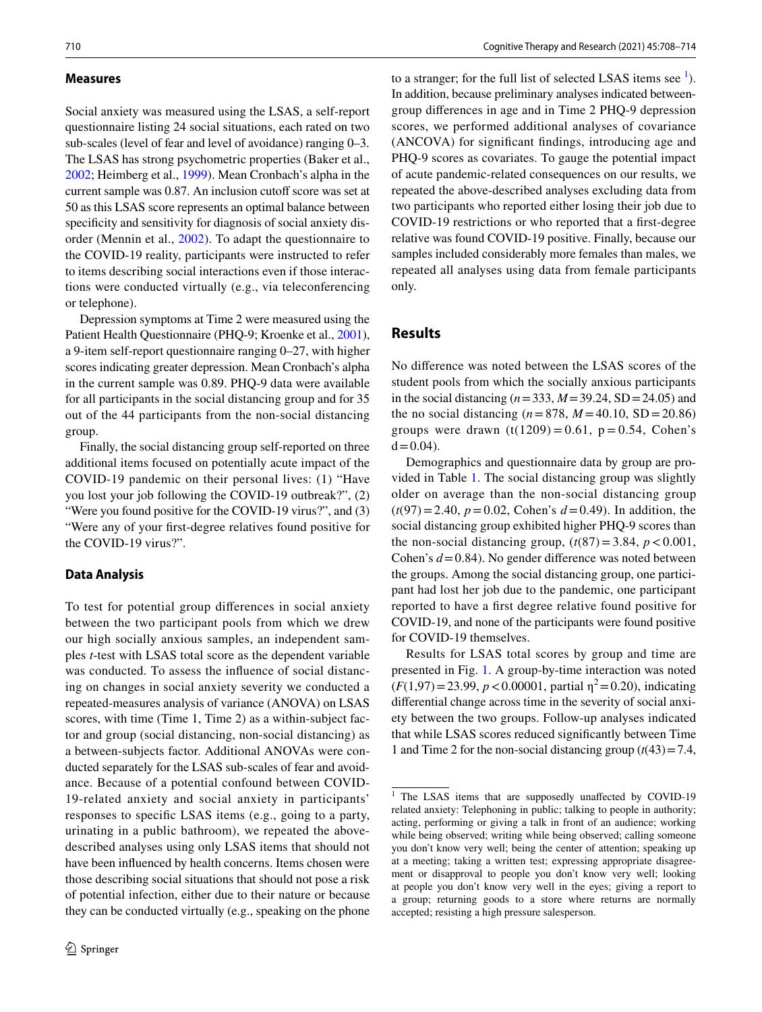#### **Measures**

Social anxiety was measured using the LSAS, a self-report questionnaire listing 24 social situations, each rated on two sub-scales (level of fear and level of avoidance) ranging 0–3. The LSAS has strong psychometric properties (Baker et al., [2002](#page-5-6); Heimberg et al., [1999](#page-6-20)). Mean Cronbach's alpha in the current sample was 0.87. An inclusion cutoff score was set at 50 as this LSAS score represents an optimal balance between specifcity and sensitivity for diagnosis of social anxiety disorder (Mennin et al., [2002\)](#page-6-21). To adapt the questionnaire to the COVID-19 reality, participants were instructed to refer to items describing social interactions even if those interactions were conducted virtually (e.g., via teleconferencing or telephone).

Depression symptoms at Time 2 were measured using the Patient Health Questionnaire (PHQ-9; Kroenke et al., [2001](#page-6-22)), a 9-item self-report questionnaire ranging 0–27, with higher scores indicating greater depression. Mean Cronbach's alpha in the current sample was 0.89. PHQ-9 data were available for all participants in the social distancing group and for 35 out of the 44 participants from the non-social distancing group.

Finally, the social distancing group self-reported on three additional items focused on potentially acute impact of the COVID-19 pandemic on their personal lives: (1) "Have you lost your job following the COVID-19 outbreak?", (2) "Were you found positive for the COVID-19 virus?", and (3) "Were any of your frst-degree relatives found positive for the COVID-19 virus?".

#### **Data Analysis**

To test for potential group diferences in social anxiety between the two participant pools from which we drew our high socially anxious samples, an independent samples *t*-test with LSAS total score as the dependent variable was conducted. To assess the infuence of social distancing on changes in social anxiety severity we conducted a repeated-measures analysis of variance (ANOVA) on LSAS scores, with time (Time 1, Time 2) as a within-subject factor and group (social distancing, non-social distancing) as a between-subjects factor. Additional ANOVAs were conducted separately for the LSAS sub-scales of fear and avoidance. Because of a potential confound between COVID-19-related anxiety and social anxiety in participants' responses to specifc LSAS items (e.g., going to a party, urinating in a public bathroom), we repeated the abovedescribed analyses using only LSAS items that should not have been infuenced by health concerns. Items chosen were those describing social situations that should not pose a risk of potential infection, either due to their nature or because they can be conducted virtually (e.g., speaking on the phone

to a stranger; for the full list of selected LSAS items see  $<sup>1</sup>$  $<sup>1</sup>$  $<sup>1</sup>$ ).</sup> In addition, because preliminary analyses indicated betweengroup diferences in age and in Time 2 PHQ-9 depression scores, we performed additional analyses of covariance (ANCOVA) for signifcant fndings, introducing age and PHQ-9 scores as covariates. To gauge the potential impact of acute pandemic-related consequences on our results, we repeated the above-described analyses excluding data from two participants who reported either losing their job due to COVID-19 restrictions or who reported that a frst-degree relative was found COVID-19 positive. Finally, because our samples included considerably more females than males, we repeated all analyses using data from female participants only.

## **Results**

No diference was noted between the LSAS scores of the student pools from which the socially anxious participants in the social distancing (*n*=333, *M*=39.24, SD=24.05) and the no social distancing ( $n = 878$ ,  $M = 40.10$ , SD = 20.86) groups were drawn  $(t(1209) = 0.61, p = 0.54, Cohen's$  $d = 0.04$ ).

Demographics and questionnaire data by group are provided in Table [1](#page-3-0). The social distancing group was slightly older on average than the non-social distancing group  $(t(97)=2.40, p=0.02, \text{Cohen's } d=0.49)$ . In addition, the social distancing group exhibited higher PHQ-9 scores than the non-social distancing group,  $(t(87)=3.84, p<0.001,$ Cohen's *d*=0.84). No gender diference was noted between the groups. Among the social distancing group, one participant had lost her job due to the pandemic, one participant reported to have a frst degree relative found positive for COVID-19, and none of the participants were found positive for COVID-19 themselves.

Results for LSAS total scores by group and time are presented in Fig. [1.](#page-3-1) A group-by-time interaction was noted  $(F(1,97)=23.99, p < 0.00001,$  partial  $\eta^2 = 0.20$ ), indicating diferential change across time in the severity of social anxiety between the two groups. Follow-up analyses indicated that while LSAS scores reduced signifcantly between Time 1 and Time 2 for the non-social distancing group  $(t(43)=7.4$ ,

<span id="page-2-0"></span><sup>&</sup>lt;sup>1</sup> The LSAS items that are supposedly unaffected by COVID-19 related anxiety: Telephoning in public; talking to people in authority; acting, performing or giving a talk in front of an audience; working while being observed; writing while being observed; calling someone you don't know very well; being the center of attention; speaking up at a meeting; taking a written test; expressing appropriate disagreement or disapproval to people you don't know very well; looking at people you don't know very well in the eyes; giving a report to a group; returning goods to a store where returns are normally accepted; resisting a high pressure salesperson.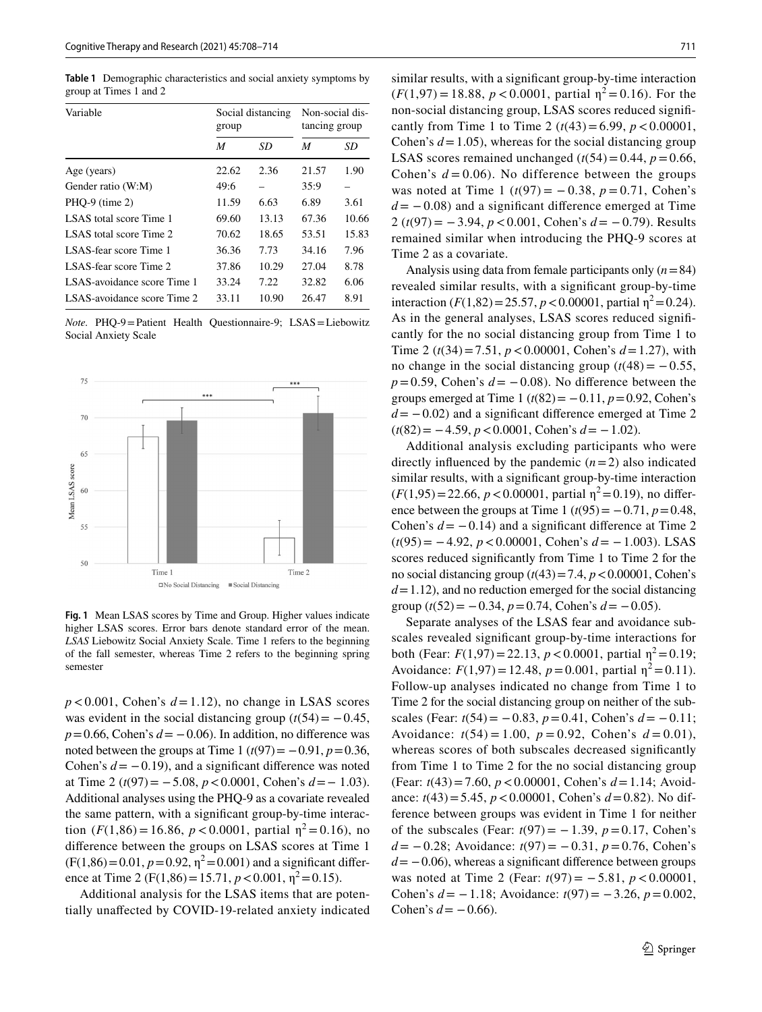<span id="page-3-0"></span>**Table 1** Demographic characteristics and social anxiety symptoms by group at Times 1 and 2

| Variable                    | Social distancing<br>group |       | Non-social dis-<br>tancing group |       |
|-----------------------------|----------------------------|-------|----------------------------------|-------|
|                             | M                          | SD    | M                                | SD    |
| Age (years)                 | 22.62                      | 2.36  | 21.57                            | 1.90  |
| Gender ratio (W:M)          | 49:6                       |       | 35:9                             |       |
| $PHQ-9$ (time 2)            | 11.59                      | 6.63  | 6.89                             | 3.61  |
| LSAS total score Time 1     | 69.60                      | 13.13 | 67.36                            | 10.66 |
| LSAS total score Time 2     | 70.62                      | 18.65 | 53.51                            | 15.83 |
| LSAS-fear score Time 1      | 36.36                      | 7.73  | 34.16                            | 7.96  |
| LSAS-fear score Time 2      | 37.86                      | 10.29 | 27.04                            | 8.78  |
| LSAS-avoidance score Time 1 | 33.24                      | 7.22  | 32.82                            | 6.06  |
| LSAS-avoidance score Time 2 | 33.11                      | 10.90 | 26.47                            | 8.91  |

*Note.* PHQ-9=Patient Health Questionnaire-9; LSAS=Liebowitz Social Anxiety Scale



<span id="page-3-1"></span>**Fig. 1** Mean LSAS scores by Time and Group. Higher values indicate higher LSAS scores. Error bars denote standard error of the mean. *LSAS* Liebowitz Social Anxiety Scale. Time 1 refers to the beginning of the fall semester, whereas Time 2 refers to the beginning spring semester

 $p < 0.001$ , Cohen's  $d = 1.12$ ), no change in LSAS scores was evident in the social distancing group  $(t(54) = -0.45)$ ,  $p=0.66$ , Cohen's  $d=-0.06$ ). In addition, no difference was noted between the groups at Time 1  $(t(97) = -0.91, p = 0.36,$ Cohen's  $d = -0.19$ ), and a significant difference was noted at Time 2 (*t*(97)= −5.08, *p*<0.0001, Cohen's *d*=− 1.03). Additional analyses using the PHQ-9 as a covariate revealed the same pattern, with a signifcant group-by-time interaction  $(F(1,86) = 16.86, p < 0.0001,$  partial  $\eta^2 = 0.16$ ), no diference between the groups on LSAS scores at Time 1  $(F(1,86)=0.01, p=0.92, \eta^2=0.001)$  and a significant difference at Time 2 (F(1,86) = 15.71,  $p < 0.001$ ,  $\eta^2 = 0.15$ ).

Additional analysis for the LSAS items that are potentially unafected by COVID-19-related anxiety indicated similar results, with a signifcant group-by-time interaction  $(F(1,97) = 18.88, p < 0.0001,$  partial  $\eta^2 = 0.16$ ). For the non-social distancing group, LSAS scores reduced signifcantly from Time 1 to Time 2  $(t(43) = 6.99, p < 0.00001,$ Cohen's  $d = 1.05$ ), whereas for the social distancing group LSAS scores remained unchanged  $(t(54)=0.44, p=0.66,$ Cohen's  $d = 0.06$ ). No difference between the groups was noted at Time 1 (*t*(97) = −0.38, *p* = 0.71, Cohen's  $d = -0.08$ ) and a significant difference emerged at Time 2 (*t*(97)= −3.94, *p*<0.001, Cohen's *d*= −0.79). Results remained similar when introducing the PHQ-9 scores at Time 2 as a covariate.

Analysis using data from female participants only (*n*=84) revealed similar results, with a signifcant group-by-time interaction  $(F(1,82)=25.57, p<0.00001,$  partial  $\eta^2=0.24$ ). As in the general analyses, LSAS scores reduced signifcantly for the no social distancing group from Time 1 to Time 2 (*t*(34)=7.51, *p*<0.00001, Cohen's *d*=1.27), with no change in the social distancing group  $(t(48) = -0.55)$ ,  $p=0.59$ , Cohen's  $d=-0.08$ ). No difference between the groups emerged at Time 1 ( $t(82) = -0.11$ ,  $p = 0.92$ , Cohen's  $d = -0.02$ ) and a significant difference emerged at Time 2 (*t*(82)= −4.59, *p*<0.0001, Cohen's *d*= −1.02).

Additional analysis excluding participants who were directly influenced by the pandemic  $(n=2)$  also indicated similar results, with a signifcant group-by-time interaction  $(F(1,95)=22.66, p<0.00001,$  partial  $\eta^2=0.19$ ), no difference between the groups at Time 1  $(t(95) = -0.71, p = 0.48,$ Cohen's  $d = -0.14$ ) and a significant difference at Time 2 (*t*(95)= −4.92, *p*<0.00001, Cohen's *d*= −1.003). LSAS scores reduced signifcantly from Time 1 to Time 2 for the no social distancing group  $(t(43)=7.4, p<0.00001,$  Cohen's  $d=1.12$ ), and no reduction emerged for the social distancing group  $(t(52) = -0.34, p = 0.74, \text{Cohen's } d = -0.05)$ .

Separate analyses of the LSAS fear and avoidance subscales revealed signifcant group-by-time interactions for both (Fear:  $F(1,97) = 22.13$ ,  $p < 0.0001$ , partial  $\eta^2 = 0.19$ ; Avoidance:  $F(1,97) = 12.48$ ,  $p = 0.001$ , partial  $\eta^2 = 0.11$ ). Follow-up analyses indicated no change from Time 1 to Time 2 for the social distancing group on neither of the subscales (Fear: *t*(54)= −0.83, *p*=0.41, Cohen's *d*= −0.11; Avoidance:  $t(54) = 1.00$ ,  $p = 0.92$ , Cohen's  $d = 0.01$ ), whereas scores of both subscales decreased significantly from Time 1 to Time 2 for the no social distancing group (Fear: *t*(43)=7.60, *p*<0.00001, Cohen's *d*=1.14; Avoidance: *t*(43)=5.45, *p*<0.00001, Cohen's *d*=0.82). No difference between groups was evident in Time 1 for neither of the subscales (Fear:  $t(97) = -1.39$ ,  $p = 0.17$ , Cohen's *d*= −0.28; Avoidance: *t*(97)= −0.31, *p*=0.76, Cohen's  $d = -0.06$ ), whereas a significant difference between groups was noted at Time 2 (Fear: *t*(97) = −5.81, *p* < 0.00001, Cohen's *d*= −1.18; Avoidance: *t*(97)= −3.26, *p*=0.002, Cohen's  $d = -0.66$ ).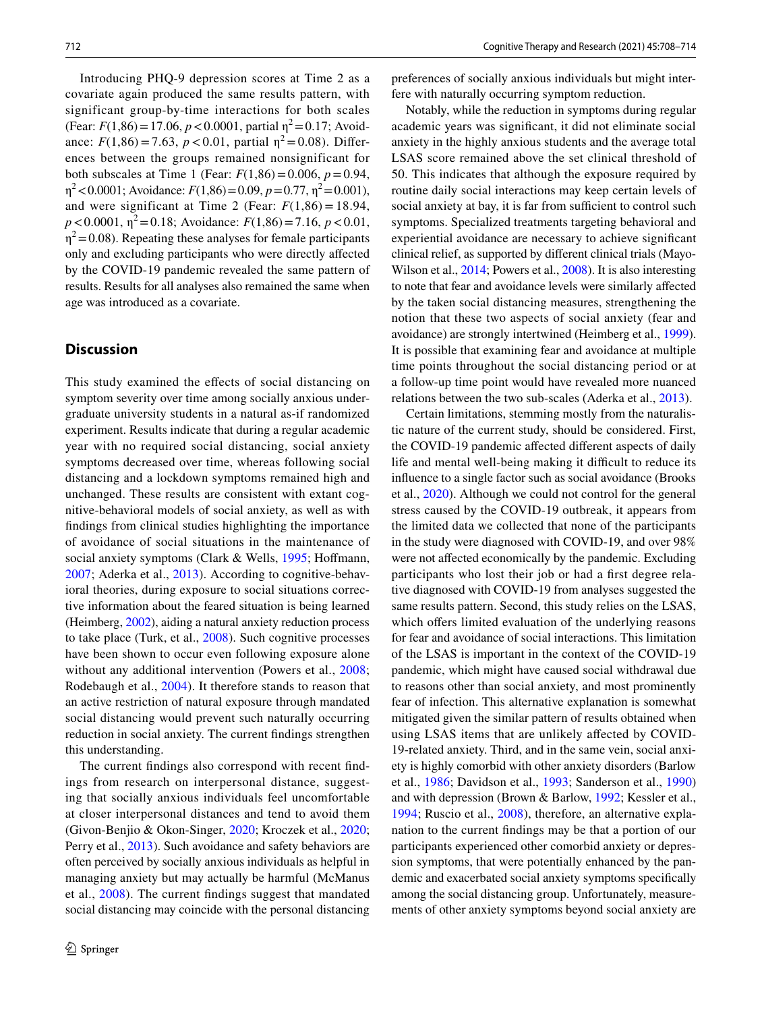Introducing PHQ-9 depression scores at Time 2 as a covariate again produced the same results pattern, with significant group-by-time interactions for both scales (Fear:  $F(1,86) = 17.06$ ,  $p < 0.0001$ , partial  $\eta^2 = 0.17$ ; Avoidance:  $F(1,86) = 7.63$ ,  $p < 0.01$ , partial  $\eta^2 = 0.08$ ). Differences between the groups remained nonsignificant for both subscales at Time 1 (Fear:  $F(1,86) = 0.006$ ,  $p = 0.94$ ,  $\eta^2$  < 0.0001; Avoidance: *F*(1,86) = 0.09, *p* = 0.77,  $\eta^2$  = 0.001), and were significant at Time 2 (Fear:  $F(1,86) = 18.94$ ,  $p < 0.0001$ ,  $\eta^2 = 0.18$ ; Avoidance:  $F(1,86) = 7.16$ ,  $p < 0.01$ ,  $\eta^2$  = 0.08). Repeating these analyses for female participants only and excluding participants who were directly afected by the COVID-19 pandemic revealed the same pattern of results. Results for all analyses also remained the same when age was introduced as a covariate.

# **Discussion**

This study examined the efects of social distancing on symptom severity over time among socially anxious undergraduate university students in a natural as-if randomized experiment. Results indicate that during a regular academic year with no required social distancing, social anxiety symptoms decreased over time, whereas following social distancing and a lockdown symptoms remained high and unchanged. These results are consistent with extant cognitive-behavioral models of social anxiety, as well as with fndings from clinical studies highlighting the importance of avoidance of social situations in the maintenance of social anxiety symptoms (Clark & Wells, [1995](#page-5-0); Hoffmann, [2007](#page-6-2); Aderka et al., [2013\)](#page-5-1). According to cognitive-behavioral theories, during exposure to social situations corrective information about the feared situation is being learned (Heimberg, [2002](#page-6-23)), aiding a natural anxiety reduction process to take place (Turk, et al., [2008\)](#page-6-8). Such cognitive processes have been shown to occur even following exposure alone without any additional intervention (Powers et al., [2008](#page-6-11); Rodebaugh et al., [2004\)](#page-6-12). It therefore stands to reason that an active restriction of natural exposure through mandated social distancing would prevent such naturally occurring reduction in social anxiety. The current fndings strengthen this understanding.

The current fndings also correspond with recent fndings from research on interpersonal distance, suggesting that socially anxious individuals feel uncomfortable at closer interpersonal distances and tend to avoid them (Givon-Benjio & Okon-Singer, [2020](#page-6-24); Kroczek et al., [2020](#page-6-25); Perry et al., [2013\)](#page-6-26). Such avoidance and safety behaviors are often perceived by socially anxious individuals as helpful in managing anxiety but may actually be harmful (McManus et al., [2008](#page-6-5)). The current fndings suggest that mandated social distancing may coincide with the personal distancing

preferences of socially anxious individuals but might interfere with naturally occurring symptom reduction.

Notably, while the reduction in symptoms during regular academic years was signifcant, it did not eliminate social anxiety in the highly anxious students and the average total LSAS score remained above the set clinical threshold of 50. This indicates that although the exposure required by routine daily social interactions may keep certain levels of social anxiety at bay, it is far from sufficient to control such symptoms. Specialized treatments targeting behavioral and experiential avoidance are necessary to achieve signifcant clinical relief, as supported by diferent clinical trials (Mayo-Wilson et al., [2014](#page-6-27); Powers et al., [2008](#page-6-11)). It is also interesting to note that fear and avoidance levels were similarly afected by the taken social distancing measures, strengthening the notion that these two aspects of social anxiety (fear and avoidance) are strongly intertwined (Heimberg et al., [1999](#page-6-20)). It is possible that examining fear and avoidance at multiple time points throughout the social distancing period or at a follow-up time point would have revealed more nuanced relations between the two sub-scales (Aderka et al., [2013](#page-5-1)).

Certain limitations, stemming mostly from the naturalistic nature of the current study, should be considered. First, the COVID-19 pandemic affected different aspects of daily life and mental well-being making it difficult to reduce its infuence to a single factor such as social avoidance (Brooks et al., [2020\)](#page-5-7). Although we could not control for the general stress caused by the COVID-19 outbreak, it appears from the limited data we collected that none of the participants in the study were diagnosed with COVID-19, and over 98% were not afected economically by the pandemic. Excluding participants who lost their job or had a frst degree relative diagnosed with COVID-19 from analyses suggested the same results pattern. Second, this study relies on the LSAS, which offers limited evaluation of the underlying reasons for fear and avoidance of social interactions. This limitation of the LSAS is important in the context of the COVID-19 pandemic, which might have caused social withdrawal due to reasons other than social anxiety, and most prominently fear of infection. This alternative explanation is somewhat mitigated given the similar pattern of results obtained when using LSAS items that are unlikely afected by COVID-19-related anxiety. Third, and in the same vein, social anxiety is highly comorbid with other anxiety disorders (Barlow et al., [1986;](#page-5-8) Davidson et al., [1993;](#page-5-9) Sanderson et al., [1990](#page-6-28)) and with depression (Brown & Barlow, [1992](#page-5-10); Kessler et al., [1994;](#page-6-29) Ruscio et al., [2008](#page-6-30)), therefore, an alternative explanation to the current fndings may be that a portion of our participants experienced other comorbid anxiety or depression symptoms, that were potentially enhanced by the pandemic and exacerbated social anxiety symptoms specifcally among the social distancing group. Unfortunately, measurements of other anxiety symptoms beyond social anxiety are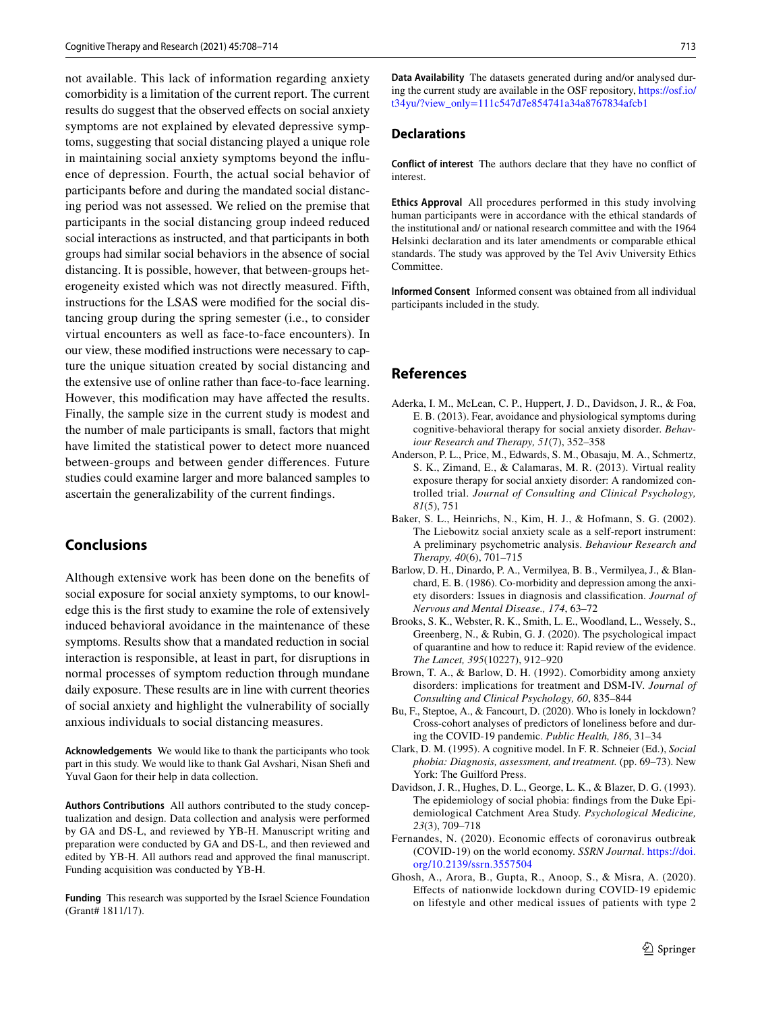not available. This lack of information regarding anxiety comorbidity is a limitation of the current report. The current results do suggest that the observed efects on social anxiety symptoms are not explained by elevated depressive symptoms, suggesting that social distancing played a unique role in maintaining social anxiety symptoms beyond the infuence of depression. Fourth, the actual social behavior of participants before and during the mandated social distancing period was not assessed. We relied on the premise that participants in the social distancing group indeed reduced social interactions as instructed, and that participants in both groups had similar social behaviors in the absence of social distancing. It is possible, however, that between-groups heterogeneity existed which was not directly measured. Fifth, instructions for the LSAS were modifed for the social distancing group during the spring semester (i.e., to consider virtual encounters as well as face-to-face encounters). In our view, these modifed instructions were necessary to capture the unique situation created by social distancing and the extensive use of online rather than face-to-face learning. However, this modifcation may have afected the results. Finally, the sample size in the current study is modest and the number of male participants is small, factors that might have limited the statistical power to detect more nuanced between-groups and between gender diferences. Future studies could examine larger and more balanced samples to ascertain the generalizability of the current fndings.

## **Conclusions**

Although extensive work has been done on the benefts of social exposure for social anxiety symptoms, to our knowledge this is the frst study to examine the role of extensively induced behavioral avoidance in the maintenance of these symptoms. Results show that a mandated reduction in social interaction is responsible, at least in part, for disruptions in normal processes of symptom reduction through mundane daily exposure. These results are in line with current theories of social anxiety and highlight the vulnerability of socially anxious individuals to social distancing measures.

**Acknowledgements** We would like to thank the participants who took part in this study. We would like to thank Gal Avshari, Nisan Shefi and Yuval Gaon for their help in data collection.

**Authors Contributions** All authors contributed to the study conceptualization and design. Data collection and analysis were performed by GA and DS-L, and reviewed by YB-H. Manuscript writing and preparation were conducted by GA and DS-L, and then reviewed and edited by YB-H. All authors read and approved the fnal manuscript. Funding acquisition was conducted by YB-H.

**Funding** This research was supported by the Israel Science Foundation (Grant# 1811/17).

**Data Availability** The datasets generated during and/or analysed during the current study are available in the OSF repository, [https://osf.io/](https://osf.io/t34yu/?view_only=111c547d7e854741a34a8767834afcb1) [t34yu/?view\\_only=111c547d7e854741a34a8767834afcb1](https://osf.io/t34yu/?view_only=111c547d7e854741a34a8767834afcb1)

#### **Declarations**

**Conflict of interest** The authors declare that they have no confict of interest.

**Ethics Approval** All procedures performed in this study involving human participants were in accordance with the ethical standards of the institutional and/ or national research committee and with the 1964 Helsinki declaration and its later amendments or comparable ethical standards. The study was approved by the Tel Aviv University Ethics Committee.

**Informed Consent** Informed consent was obtained from all individual participants included in the study.

## **References**

- <span id="page-5-1"></span>Aderka, I. M., McLean, C. P., Huppert, J. D., Davidson, J. R., & Foa, E. B. (2013). Fear, avoidance and physiological symptoms during cognitive-behavioral therapy for social anxiety disorder. *Behaviour Research and Therapy, 51*(7), 352–358
- <span id="page-5-2"></span>Anderson, P. L., Price, M., Edwards, S. M., Obasaju, M. A., Schmertz, S. K., Zimand, E., & Calamaras, M. R. (2013). Virtual reality exposure therapy for social anxiety disorder: A randomized controlled trial. *Journal of Consulting and Clinical Psychology, 81*(5), 751
- <span id="page-5-6"></span>Baker, S. L., Heinrichs, N., Kim, H. J., & Hofmann, S. G. (2002). The Liebowitz social anxiety scale as a self-report instrument: A preliminary psychometric analysis. *Behaviour Research and Therapy, 40*(6), 701–715
- <span id="page-5-8"></span>Barlow, D. H., Dinardo, P. A., Vermilyea, B. B., Vermilyea, J., & Blanchard, E. B. (1986). Co-morbidity and depression among the anxiety disorders: Issues in diagnosis and classifcation. *Journal of Nervous and Mental Disease., 174*, 63–72
- <span id="page-5-7"></span>Brooks, S. K., Webster, R. K., Smith, L. E., Woodland, L., Wessely, S., Greenberg, N., & Rubin, G. J. (2020). The psychological impact of quarantine and how to reduce it: Rapid review of the evidence. *The Lancet, 395*(10227), 912–920
- <span id="page-5-10"></span>Brown, T. A., & Barlow, D. H. (1992). Comorbidity among anxiety disorders: implications for treatment and DSM-IV. *Journal of Consulting and Clinical Psychology, 60*, 835–844
- <span id="page-5-3"></span>Bu, F., Steptoe, A., & Fancourt, D. (2020). Who is lonely in lockdown? Cross-cohort analyses of predictors of loneliness before and during the COVID-19 pandemic. *Public Health, 186*, 31–34
- <span id="page-5-0"></span>Clark, D. M. (1995). A cognitive model. In F. R. Schneier (Ed.), *Social phobia: Diagnosis, assessment, and treatment.* (pp. 69–73). New York: The Guilford Press.
- <span id="page-5-9"></span>Davidson, J. R., Hughes, D. L., George, L. K., & Blazer, D. G. (1993). The epidemiology of social phobia: fndings from the Duke Epidemiological Catchment Area Study. *Psychological Medicine, 23*(3), 709–718
- <span id="page-5-4"></span>Fernandes, N. (2020). Economic efects of coronavirus outbreak (COVID-19) on the world economy. *SSRN Journal*. [https://doi.](https://doi.org/10.2139/ssrn.3557504) [org/10.2139/ssrn.3557504](https://doi.org/10.2139/ssrn.3557504)
- <span id="page-5-5"></span>Ghosh, A., Arora, B., Gupta, R., Anoop, S., & Misra, A. (2020). Efects of nationwide lockdown during COVID-19 epidemic on lifestyle and other medical issues of patients with type 2